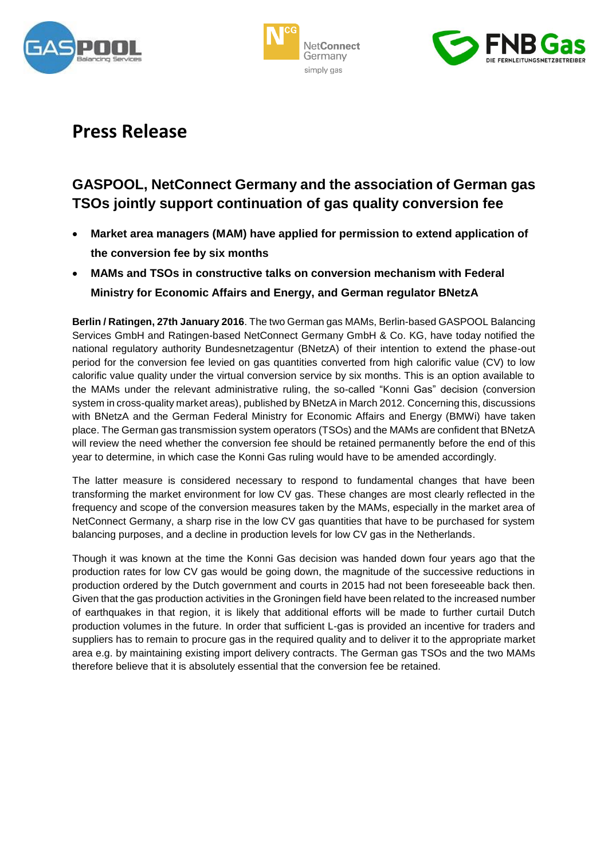





# **Press Release**

## **GASPOOL, NetConnect Germany and the association of German gas TSOs jointly support continuation of gas quality conversion fee**

- **Market area managers (MAM) have applied for permission to extend application of the conversion fee by six months**
- **MAMs and TSOs in constructive talks on conversion mechanism with Federal Ministry for Economic Affairs and Energy, and German regulator BNetzA**

**Berlin / Ratingen, 27th January 2016**. The two German gas MAMs, Berlin-based GASPOOL Balancing Services GmbH and Ratingen-based NetConnect Germany GmbH & Co. KG, have today notified the national regulatory authority Bundesnetzagentur (BNetzA) of their intention to extend the phase-out period for the conversion fee levied on gas quantities converted from high calorific value (CV) to low calorific value quality under the virtual conversion service by six months. This is an option available to the MAMs under the relevant administrative ruling, the so-called "Konni Gas" decision (conversion system in cross-quality market areas), published by BNetzA in March 2012. Concerning this, discussions with BNetzA and the German Federal Ministry for Economic Affairs and Energy (BMWi) have taken place. The German gas transmission system operators (TSOs) and the MAMs are confident that BNetzA will review the need whether the conversion fee should be retained permanently before the end of this year to determine, in which case the Konni Gas ruling would have to be amended accordingly.

The latter measure is considered necessary to respond to fundamental changes that have been transforming the market environment for low CV gas. These changes are most clearly reflected in the frequency and scope of the conversion measures taken by the MAMs, especially in the market area of NetConnect Germany, a sharp rise in the low CV gas quantities that have to be purchased for system balancing purposes, and a decline in production levels for low CV gas in the Netherlands.

Though it was known at the time the Konni Gas decision was handed down four years ago that the production rates for low CV gas would be going down, the magnitude of the successive reductions in production ordered by the Dutch government and courts in 2015 had not been foreseeable back then. Given that the gas production activities in the Groningen field have been related to the increased number of earthquakes in that region, it is likely that additional efforts will be made to further curtail Dutch production volumes in the future. In order that sufficient L-gas is provided an incentive for traders and suppliers has to remain to procure gas in the required quality and to deliver it to the appropriate market area e.g. by maintaining existing import delivery contracts. The German gas TSOs and the two MAMs therefore believe that it is absolutely essential that the conversion fee be retained.